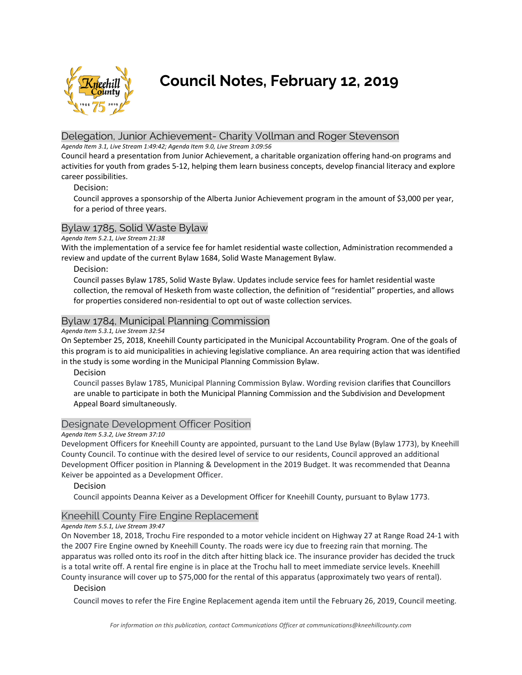

# **Council Notes, February 12, 2019**

# Delegation, Junior Achievement- Charity Vollman and Roger Stevenson

*Agenda Item 3.1, Live Stream 1:49:42; Agenda Item 9.0, Live Stream 3:09:56* 

Council heard a presentation from Junior Achievement, a charitable organization offering hand‐on programs and activities for youth from grades 5‐12, helping them learn business concepts, develop financial literacy and explore career possibilities.

## Decision:

Council approves a sponsorship of the Alberta Junior Achievement program in the amount of \$3,000 per year, for a period of three years.

# Bylaw 1785, Solid Waste Bylaw

*Agenda Item 5.2.1, Live Stream 21:38* 

With the implementation of a service fee for hamlet residential waste collection, Administration recommended a review and update of the current Bylaw 1684, Solid Waste Management Bylaw.

#### Decision:

Council passes Bylaw 1785, Solid Waste Bylaw. Updates include service fees for hamlet residential waste collection, the removal of Hesketh from waste collection, the definition of "residential" properties, and allows for properties considered non-residential to opt out of waste collection services.

# Bylaw 1784, Municipal Planning Commission

#### *Agenda Item 5.3.1, Live Stream 32:54*

On September 25, 2018, Kneehill County participated in the Municipal Accountability Program. One of the goals of this program is to aid municipalities in achieving legislative compliance. An area requiring action that was identified in the study is some wording in the Municipal Planning Commission Bylaw.

Decision

Council passes Bylaw 1785, Municipal Planning Commission Bylaw. Wording revision clarifies that Councillors are unable to participate in both the Municipal Planning Commission and the Subdivision and Development Appeal Board simultaneously.

# Designate Development Officer Position

#### *Agenda Item 5.3.2, Live Stream 37:10*

Development Officers for Kneehill County are appointed, pursuant to the Land Use Bylaw (Bylaw 1773), by Kneehill County Council. To continue with the desired level of service to our residents, Council approved an additional Development Officer position in Planning & Development in the 2019 Budget. It was recommended that Deanna Keiver be appointed as a Development Officer.

Decision

Council appoints Deanna Keiver as a Development Officer for Kneehill County, pursuant to Bylaw 1773.

# Kneehill County Fire Engine Replacement

#### *Agenda Item 5.5.1, Live Stream 39:47*

On November 18, 2018, Trochu Fire responded to a motor vehicle incident on Highway 27 at Range Road 24‐1 with the 2007 Fire Engine owned by Kneehill County. The roads were icy due to freezing rain that morning. The apparatus was rolled onto its roof in the ditch after hitting black ice. The insurance provider has decided the truck is a total write off. A rental fire engine is in place at the Trochu hall to meet immediate service levels. Kneehill County insurance will cover up to \$75,000 for the rental of this apparatus (approximately two years of rental).

#### Decision

Council moves to refer the Fire Engine Replacement agenda item until the February 26, 2019, Council meeting.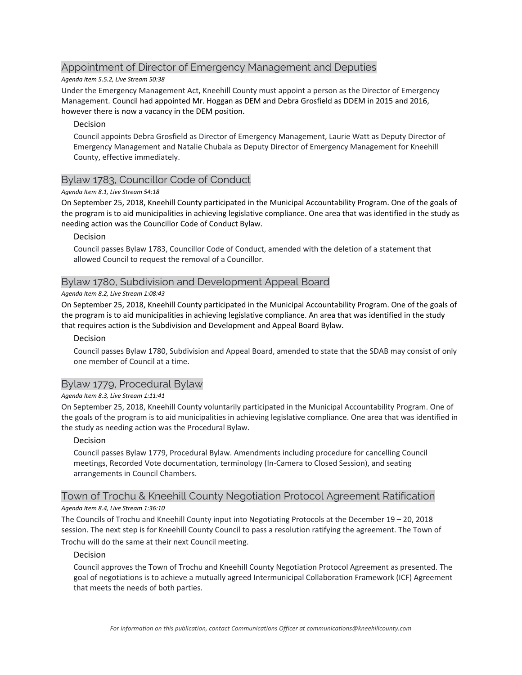# Appointment of Director of Emergency Management and Deputies

#### *Agenda Item 5.5.2, Live Stream 50:38*

Under the Emergency Management Act, Kneehill County must appoint a person as the Director of Emergency Management. Council had appointed Mr. Hoggan as DEM and Debra Grosfield as DDEM in 2015 and 2016, however there is now a vacancy in the DEM position.

#### Decision

Council appoints Debra Grosfield as Director of Emergency Management, Laurie Watt as Deputy Director of Emergency Management and Natalie Chubala as Deputy Director of Emergency Management for Kneehill County, effective immediately.

## Bylaw 1783, Councillor Code of Conduct

#### *Agenda Item 8.1, Live Stream 54:18*

On September 25, 2018, Kneehill County participated in the Municipal Accountability Program. One of the goals of the program is to aid municipalities in achieving legislative compliance. One area that was identified in the study as needing action was the Councillor Code of Conduct Bylaw.

#### Decision

Council passes Bylaw 1783, Councillor Code of Conduct, amended with the deletion of a statement that allowed Council to request the removal of a Councillor.

#### Bylaw 1780, Subdivision and Development Appeal Board

#### *Agenda Item 8.2, Live Stream 1:08:43*

On September 25, 2018, Kneehill County participated in the Municipal Accountability Program. One of the goals of the program is to aid municipalities in achieving legislative compliance. An area that was identified in the study that requires action is the Subdivision and Development and Appeal Board Bylaw.

#### Decision

Council passes Bylaw 1780, Subdivision and Appeal Board, amended to state that the SDAB may consist of only one member of Council at a time.

## Bylaw 1779, Procedural Bylaw

#### *Agenda Item 8.3, Live Stream 1:11:41*

On September 25, 2018, Kneehill County voluntarily participated in the Municipal Accountability Program. One of the goals of the program is to aid municipalities in achieving legislative compliance. One area that was identified in the study as needing action was the Procedural Bylaw.

#### Decision

Council passes Bylaw 1779, Procedural Bylaw. Amendments including procedure for cancelling Council meetings, Recorded Vote documentation, terminology (In‐Camera to Closed Session), and seating arrangements in Council Chambers.

#### Town of Trochu & Kneehill County Negotiation Protocol Agreement Ratification

#### *Agenda Item 8.4, Live Stream 1:36:10*

The Councils of Trochu and Kneehill County input into Negotiating Protocols at the December 19 – 20, 2018 session. The next step is for Kneehill County Council to pass a resolution ratifying the agreement. The Town of Trochu will do the same at their next Council meeting.

#### Decision

Council approves the Town of Trochu and Kneehill County Negotiation Protocol Agreement as presented. The goal of negotiations is to achieve a mutually agreed Intermunicipal Collaboration Framework (ICF) Agreement that meets the needs of both parties.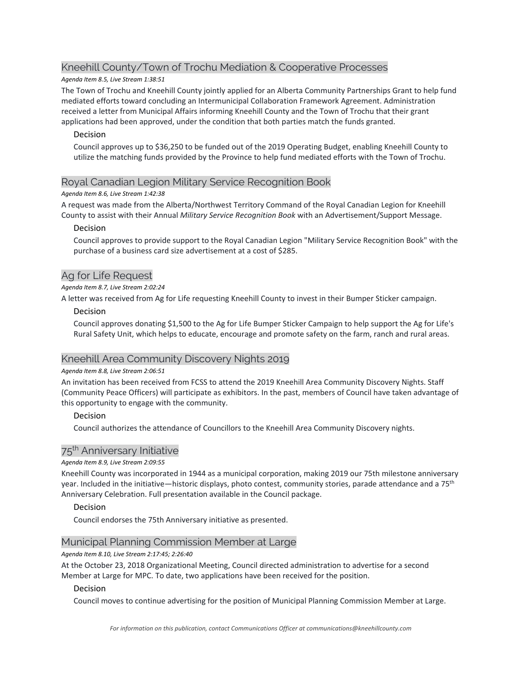# Kneehill County/Town of Trochu Mediation & Cooperative Processes

## *Agenda Item 8.5, Live Stream 1:38:51*

The Town of Trochu and Kneehill County jointly applied for an Alberta Community Partnerships Grant to help fund mediated efforts toward concluding an Intermunicipal Collaboration Framework Agreement. Administration received a letter from Municipal Affairs informing Kneehill County and the Town of Trochu that their grant applications had been approved, under the condition that both parties match the funds granted.

## Decision

Council approves up to \$36,250 to be funded out of the 2019 Operating Budget, enabling Kneehill County to utilize the matching funds provided by the Province to help fund mediated efforts with the Town of Trochu.

# Royal Canadian Legion Military Service Recognition Book

## *Agenda Item 8.6, Live Stream 1:42:38*

A request was made from the Alberta/Northwest Territory Command of the Royal Canadian Legion for Kneehill County to assist with their Annual *Military Service Recognition Book* with an Advertisement/Support Message.

# Decision

Council approves to provide support to the Royal Canadian Legion "Military Service Recognition Book" with the purchase of a business card size advertisement at a cost of \$285.

# Ag for Life Request

## *Agenda Item 8.7, Live Stream 2:02:24*

A letter was received from Ag for Life requesting Kneehill County to invest in their Bumper Sticker campaign.

## Decision

Council approves donating \$1,500 to the Ag for Life Bumper Sticker Campaign to help support the Ag for Life's Rural Safety Unit, which helps to educate, encourage and promote safety on the farm, ranch and rural areas.

# Kneehill Area Community Discovery Nights 2019

#### *Agenda Item 8.8, Live Stream 2:06:51*

An invitation has been received from FCSS to attend the 2019 Kneehill Area Community Discovery Nights. Staff (Community Peace Officers) will participate as exhibitors. In the past, members of Council have taken advantage of this opportunity to engage with the community.

# Decision

Council authorizes the attendance of Councillors to the Kneehill Area Community Discovery nights.

# 75<sup>th</sup> Anniversary Initiative

#### *Agenda Item 8.9, Live Stream 2:09:55*

Kneehill County was incorporated in 1944 as a municipal corporation, making 2019 our 75th milestone anniversary year. Included in the initiative—historic displays, photo contest, community stories, parade attendance and a 75<sup>th</sup> Anniversary Celebration. Full presentation available in the Council package.

#### Decision

Council endorses the 75th Anniversary initiative as presented.

# Municipal Planning Commission Member at Large

#### *Agenda Item 8.10, Live Stream 2:17:45; 2:26:40*

At the October 23, 2018 Organizational Meeting, Council directed administration to advertise for a second Member at Large for MPC. To date, two applications have been received for the position.

#### Decision

Council moves to continue advertising for the position of Municipal Planning Commission Member at Large.